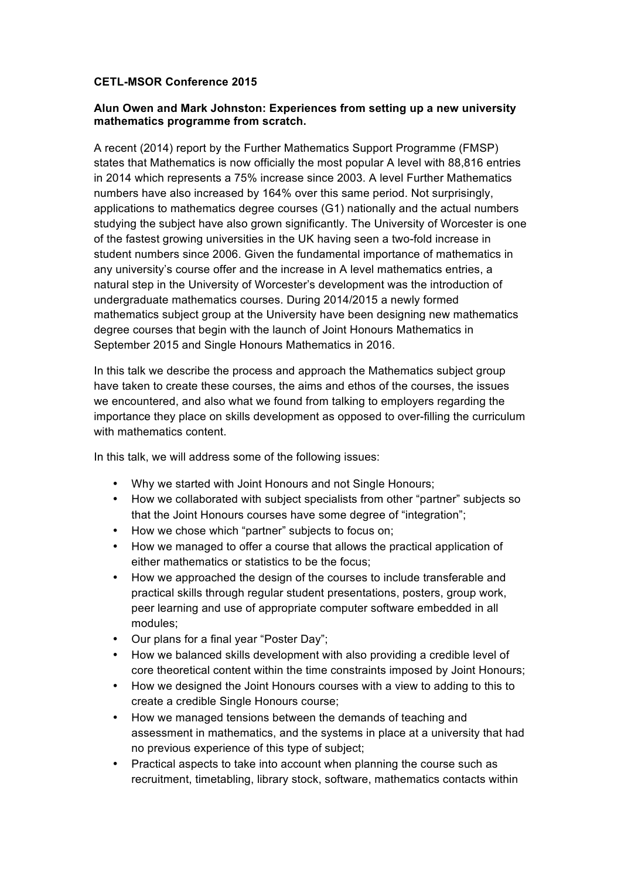## **CETL-MSOR Conference 2015**

## **Alun Owen and Mark Johnston: Experiences from setting up a new university mathematics programme from scratch.**

A recent (2014) report by the Further Mathematics Support Programme (FMSP) states that Mathematics is now officially the most popular A level with 88,816 entries in 2014 which represents a 75% increase since 2003. A level Further Mathematics numbers have also increased by 164% over this same period. Not surprisingly, applications to mathematics degree courses (G1) nationally and the actual numbers studying the subject have also grown significantly. The University of Worcester is one of the fastest growing universities in the UK having seen a two-fold increase in student numbers since 2006. Given the fundamental importance of mathematics in any university's course offer and the increase in A level mathematics entries, a natural step in the University of Worcester's development was the introduction of undergraduate mathematics courses. During 2014/2015 a newly formed mathematics subject group at the University have been designing new mathematics degree courses that begin with the launch of Joint Honours Mathematics in September 2015 and Single Honours Mathematics in 2016.

In this talk we describe the process and approach the Mathematics subject group have taken to create these courses, the aims and ethos of the courses, the issues we encountered, and also what we found from talking to employers regarding the importance they place on skills development as opposed to over-filling the curriculum with mathematics content.

In this talk, we will address some of the following issues:

- Why we started with Joint Honours and not Single Honours;
- How we collaborated with subject specialists from other "partner" subjects so that the Joint Honours courses have some degree of "integration";
- How we chose which "partner" subjects to focus on;
- How we managed to offer a course that allows the practical application of either mathematics or statistics to be the focus;
- How we approached the design of the courses to include transferable and practical skills through regular student presentations, posters, group work, peer learning and use of appropriate computer software embedded in all modules;
- Our plans for a final year "Poster Day";
- How we balanced skills development with also providing a credible level of core theoretical content within the time constraints imposed by Joint Honours;
- How we designed the Joint Honours courses with a view to adding to this to create a credible Single Honours course;
- How we managed tensions between the demands of teaching and assessment in mathematics, and the systems in place at a university that had no previous experience of this type of subject;
- Practical aspects to take into account when planning the course such as recruitment, timetabling, library stock, software, mathematics contacts within